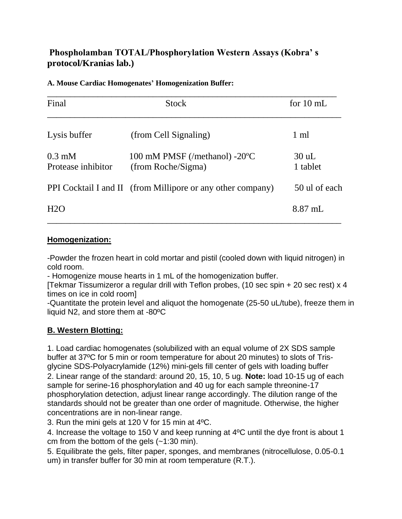# **Phospholamban TOTAL/Phosphorylation Western Assays (Kobra' s protocol/Kranias lab.)**

### **A. Mouse Cardiac Homogenates' Homogenization Buffer:**

| Final                          | <b>Stock</b>                                                | for $10 \text{ mL}$ |
|--------------------------------|-------------------------------------------------------------|---------------------|
| Lysis buffer                   | (from Cell Signaling)                                       | 1 ml                |
| $0.3$ mM<br>Protease inhibitor | 100 mM PMSF (/methanol) -20°C<br>(from Roche/Sigma)         | $30$ uL<br>1 tablet |
|                                | PPI Cocktail I and II (from Millipore or any other company) | 50 ul of each       |
| H2O                            |                                                             | $8.87$ mL           |

## **Homogenization:**

-Powder the frozen heart in cold mortar and pistil (cooled down with liquid nitrogen) in cold room.

- Homogenize mouse hearts in 1 mL of the homogenization buffer.

[Tekmar Tissumizeror a regular drill with Teflon probes, (10 sec spin + 20 sec rest) x 4 times on ice in cold room]

-Quantitate the protein level and aliquot the homogenate (25-50 uL/tube), freeze them in liquid N2, and store them at -80ºC

## **B. Western Blotting:**

1. Load cardiac homogenates (solubilized with an equal volume of 2X SDS sample buffer at 37ºC for 5 min or room temperature for about 20 minutes) to slots of Trisglycine SDS-Polyacrylamide (12%) mini-gels fill center of gels with loading buffer 2. Linear range of the standard: around 20, 15, 10, 5 ug. **Note:** load 10-15 ug of each sample for serine-16 phosphorylation and 40 ug for each sample threonine-17 phosphorylation detection, adjust linear range accordingly. The dilution range of the standards should not be greater than one order of magnitude. Otherwise, the higher concentrations are in non-linear range.

3. Run the mini gels at 120 V for 15 min at 4ºC.

4. Increase the voltage to 150 V and keep running at 4ºC until the dye front is about 1 cm from the bottom of the gels (~1:30 min).

5. Equilibrate the gels, filter paper, sponges, and membranes (nitrocellulose, 0.05-0.1 um) in transfer buffer for 30 min at room temperature (R.T.).